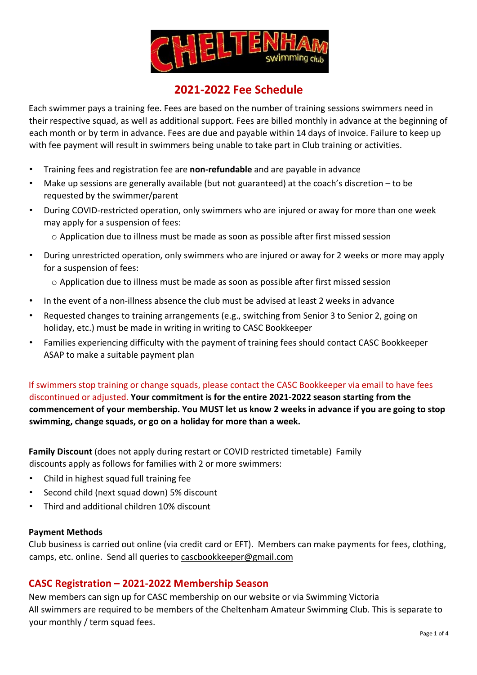

## **2021-2022 Fee Schedule**

Each swimmer pays a training fee. Fees are based on the number of training sessions swimmers need in their respective squad, as well as additional support. Fees are billed monthly in advance at the beginning of each month or by term in advance. Fees are due and payable within 14 days of invoice. Failure to keep up with fee payment will result in swimmers being unable to take part in Club training or activities.

- Training fees and registration fee are **non-refundable** and are payable in advance
- Make up sessions are generally available (but not guaranteed) at the coach's discretion to be requested by the swimmer/parent
- During COVID-restricted operation, only swimmers who are injured or away for more than one week may apply for a suspension of fees:
	- o Application due to illness must be made as soon as possible after first missed session
- During unrestricted operation, only swimmers who are injured or away for 2 weeks or more may apply for a suspension of fees:
	- o Application due to illness must be made as soon as possible after first missed session
- In the event of a non-illness absence the club must be advised at least 2 weeks in advance
- Requested changes to training arrangements (e.g., switching from Senior 3 to Senior 2, going on holiday, etc.) must be made in writing in writing to CASC Bookkeeper
- Families experiencing difficulty with the payment of training fees should contact CASC Bookkeeper ASAP to make a suitable payment plan

If swimmers stop training or change squads, please contact the CASC Bookkeeper via email to have fees discontinued or adjusted. **Your commitment is for the entire 2021-2022 season starting from the commencement of your membership. You MUST let us know 2 weeks in advance if you are going to stop swimming, change squads, or go on a holiday for more than a week.** 

**Family Discount** (does not apply during restart or COVID restricted timetable)Family discounts apply as follows for families with 2 or more swimmers:

- Child in highest squad full training fee
- Second child (next squad down) 5% discount
- Third and additional children 10% discount

### **Payment Methods**

Club business is carried out online (via credit card or EFT). Members can make payments for fees, clothing, camps, etc. online. Send all queries to cascbookkeeper@gmail.com

### **CASC Registration – 2021-2022 Membership Season**

New members can sign up for CASC membership on our website or via Swimming Victoria All swimmers are required to be members of the Cheltenham Amateur Swimming Club. This is separate to your monthly / term squad fees.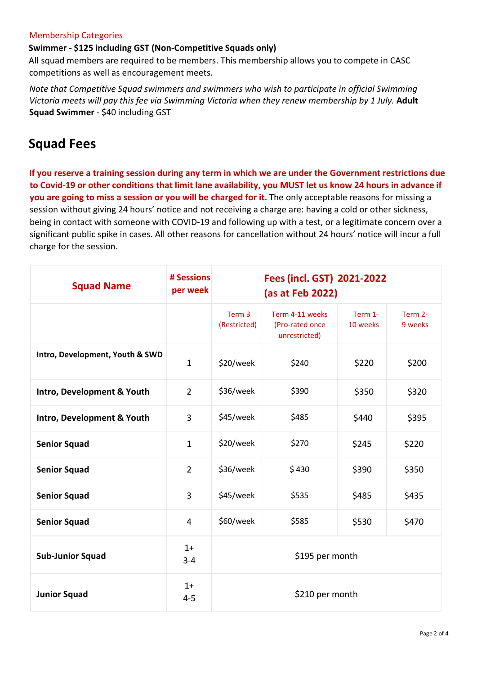#### Membership Categories

### **Swimmer - \$125 including GST (Non-Competitive Squads only)**

All squad members are required to be members. This membership allows you to compete in CASC competitions as well as encouragement meets.

*Note that Competitive Squad swimmers and swimmers who wish to participate in official Swimming Victoria meets will pay this fee via Swimming Victoria when they renew membership by 1 July.* **Adult Squad Swimmer** - \$40 including GST

# **Squad Fees**

**If you reserve a training session during any term in which we are under the Government restrictions due to Covid-19 or other conditions that limit lane availability, you MUST let us know 24 hours in advance if you are going to miss a session or you will be charged for it.** The only acceptable reasons for missing a session without giving 24 hours' notice and not receiving a charge are: having a cold or other sickness, being in contact with someone with COVID-19 and following up with a test, or a legitimate concern over a significant public spike in cases. All other reasons for cancellation without 24 hours' notice will incur a full charge for the session.

| <b>Squad Name</b>               | # Sessions<br>per week | Fees (incl. GST) 2021-2022<br>(as at Feb 2022) |                                                     |                     |                    |
|---------------------------------|------------------------|------------------------------------------------|-----------------------------------------------------|---------------------|--------------------|
|                                 |                        | Term 3<br>(Restricted)                         | Term 4-11 weeks<br>(Pro-rated once<br>unrestricted) | Term 1-<br>10 weeks | Term 2-<br>9 weeks |
| Intro, Development, Youth & SWD | $\mathbf{1}$           | \$20/week                                      | \$240                                               | \$220               | \$200              |
| Intro, Development & Youth      | $\overline{2}$         | \$36/week                                      | \$390                                               | \$350               | \$320              |
| Intro, Development & Youth      | 3                      | \$45/week                                      | \$485                                               | \$440               | \$395              |
| <b>Senior Squad</b>             | $\mathbf{1}$           | \$20/week                                      | \$270                                               | \$245               | \$220              |
| <b>Senior Squad</b>             | $\overline{2}$         | \$36/week                                      | \$430                                               | \$390               | \$350              |
| <b>Senior Squad</b>             | 3                      | \$45/week                                      | \$535                                               | \$485               | \$435              |
| <b>Senior Squad</b>             | 4                      | \$60/week                                      | \$585                                               | \$530               | \$470              |
| <b>Sub-Junior Squad</b>         | $1+$<br>$3 - 4$        | \$195 per month                                |                                                     |                     |                    |
| <b>Junior Squad</b>             | $1+$<br>$4 - 5$        | \$210 per month                                |                                                     |                     |                    |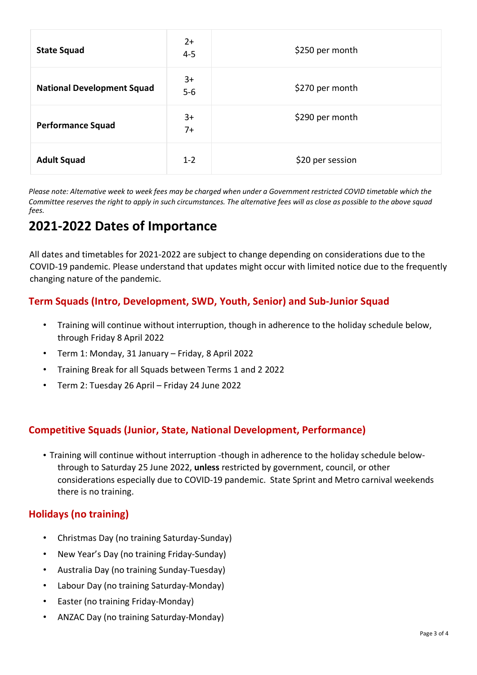| <b>State Squad</b>                | $2+$<br>$4 - 5$ | \$250 per month  |
|-----------------------------------|-----------------|------------------|
| <b>National Development Squad</b> | $3+$<br>$5-6$   | \$270 per month  |
| <b>Performance Squad</b>          | $3+$<br>$7+$    | \$290 per month  |
| <b>Adult Squad</b>                | $1 - 2$         | \$20 per session |

*Please note: Alternative week to week fees may be charged when under a Government restricted COVID timetable which the Committee reserves the right to apply in such circumstances. The alternative fees will as close as possible to the above squad fees.*

# **2021-2022 Dates of Importance**

All dates and timetables for 2021-2022 are subject to change depending on considerations due to the COVID-19 pandemic. Please understand that updates might occur with limited notice due to the frequently changing nature of the pandemic.

## **Term Squads (Intro, Development, SWD, Youth, Senior) and Sub-Junior Squad**

- Training will continue without interruption, though in adherence to the holiday schedule below, through Friday 8 April 2022
- Term 1: Monday, 31 January Friday, 8 April 2022
- Training Break for all Squads between Terms 1 and 2 2022
- Term 2: Tuesday 26 April Friday 24 June 2022

## **Competitive Squads (Junior, State, National Development, Performance)**

• Training will continue without interruption -though in adherence to the holiday schedule belowthrough to Saturday 25 June 2022, **unless** restricted by government, council, or other considerations especially due to COVID-19 pandemic. State Sprint and Metro carnival weekends there is no training.

### **Holidays (no training)**

- Christmas Day (no training Saturday-Sunday)
- New Year's Day (no training Friday-Sunday)
- Australia Day (no training Sunday-Tuesday)
- Labour Day (no training Saturday-Monday)
- Easter (no training Friday-Monday)
- ANZAC Day (no training Saturday-Monday)